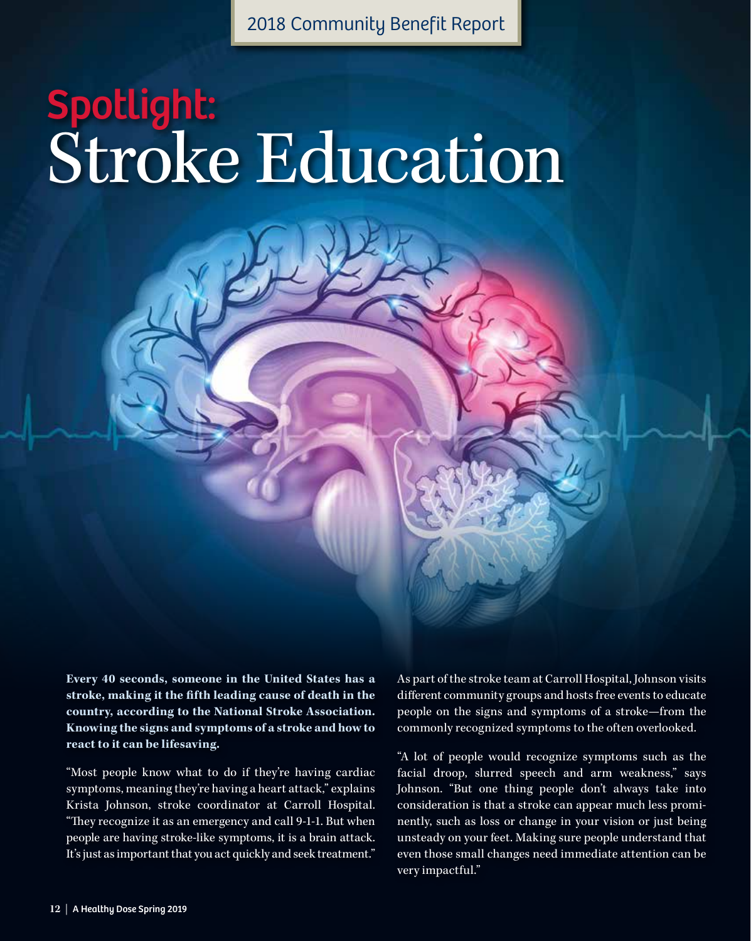2018 Community Benefit Report

# Spotlight: Stroke Education

**Every 40 seconds, someone in the United States has a stroke, making it the fifth leading cause of death in the country, according to the National Stroke Association. Knowing the signs and symptoms of a stroke and how to react to it can be lifesaving.**

"Most people know what to do if they're having cardiac symptoms, meaning they're having a heart attack," explains Krista Johnson, stroke coordinator at Carroll Hospital. "They recognize it as an emergency and call 9-1-1. But when people are having stroke-like symptoms, it is a brain attack. It's just as important that you act quickly and seek treatment."

As part of the stroke team at Carroll Hospital, Johnson visits different community groups and hosts free events to educate people on the signs and symptoms of a stroke—from the commonly recognized symptoms to the often overlooked.

"A lot of people would recognize symptoms such as the facial droop, slurred speech and arm weakness," says Johnson. "But one thing people don't always take into consideration is that a stroke can appear much less prominently, such as loss or change in your vision or just being unsteady on your feet. Making sure people understand that even those small changes need immediate attention can be very impactful."